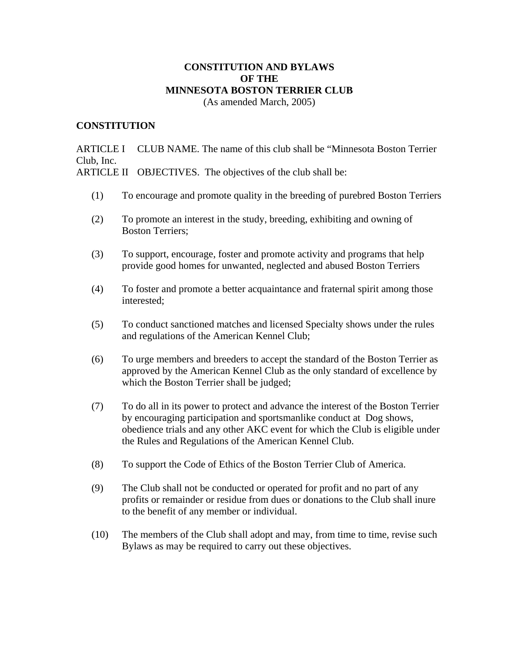### **CONSTITUTION AND BYLAWS OF THE MINNESOTA BOSTON TERRIER CLUB**  (As amended March, 2005)

#### **CONSTITUTION**

ARTICLE I CLUB NAME. The name of this club shall be "Minnesota Boston Terrier Club, Inc.

ARTICLE II OBJECTIVES. The objectives of the club shall be:

- (1) To encourage and promote quality in the breeding of purebred Boston Terriers
- (2) To promote an interest in the study, breeding, exhibiting and owning of Boston Terriers;
- (3) To support, encourage, foster and promote activity and programs that help provide good homes for unwanted, neglected and abused Boston Terriers
- (4) To foster and promote a better acquaintance and fraternal spirit among those interested;
- (5) To conduct sanctioned matches and licensed Specialty shows under the rules and regulations of the American Kennel Club;
- (6) To urge members and breeders to accept the standard of the Boston Terrier as approved by the American Kennel Club as the only standard of excellence by which the Boston Terrier shall be judged;
- (7) To do all in its power to protect and advance the interest of the Boston Terrier by encouraging participation and sportsmanlike conduct at Dog shows, obedience trials and any other AKC event for which the Club is eligible under the Rules and Regulations of the American Kennel Club.
- (8) To support the Code of Ethics of the Boston Terrier Club of America.
- (9) The Club shall not be conducted or operated for profit and no part of any profits or remainder or residue from dues or donations to the Club shall inure to the benefit of any member or individual.
- (10) The members of the Club shall adopt and may, from time to time, revise such Bylaws as may be required to carry out these objectives.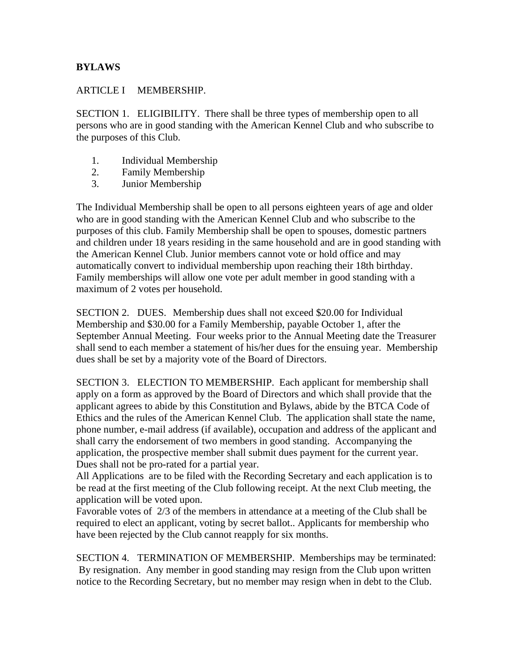## **BYLAWS**

## ARTICLE I MEMBERSHIP.

SECTION 1. ELIGIBILITY. There shall be three types of membership open to all persons who are in good standing with the American Kennel Club and who subscribe to the purposes of this Club.

- 1. Individual Membership
- 2. Family Membership
- 3. Junior Membership

The Individual Membership shall be open to all persons eighteen years of age and older who are in good standing with the American Kennel Club and who subscribe to the purposes of this club. Family Membership shall be open to spouses, domestic partners and children under 18 years residing in the same household and are in good standing with the American Kennel Club. Junior members cannot vote or hold office and may automatically convert to individual membership upon reaching their 18th birthday. Family memberships will allow one vote per adult member in good standing with a maximum of 2 votes per household.

SECTION 2. DUES. Membership dues shall not exceed \$20.00 for Individual Membership and \$30.00 for a Family Membership, payable October 1, after the September Annual Meeting. Four weeks prior to the Annual Meeting date the Treasurer shall send to each member a statement of his/her dues for the ensuing year. Membership dues shall be set by a majority vote of the Board of Directors.

SECTION 3. ELECTION TO MEMBERSHIP. Each applicant for membership shall apply on a form as approved by the Board of Directors and which shall provide that the applicant agrees to abide by this Constitution and Bylaws, abide by the BTCA Code of Ethics and the rules of the American Kennel Club. The application shall state the name, phone number, e-mail address (if available), occupation and address of the applicant and shall carry the endorsement of two members in good standing. Accompanying the application, the prospective member shall submit dues payment for the current year. Dues shall not be pro-rated for a partial year.

All Applications are to be filed with the Recording Secretary and each application is to be read at the first meeting of the Club following receipt. At the next Club meeting, the application will be voted upon.

Favorable votes of 2/3 of the members in attendance at a meeting of the Club shall be required to elect an applicant, voting by secret ballot.. Applicants for membership who have been rejected by the Club cannot reapply for six months.

SECTION 4. TERMINATION OF MEMBERSHIP. Memberships may be terminated: By resignation. Any member in good standing may resign from the Club upon written notice to the Recording Secretary, but no member may resign when in debt to the Club.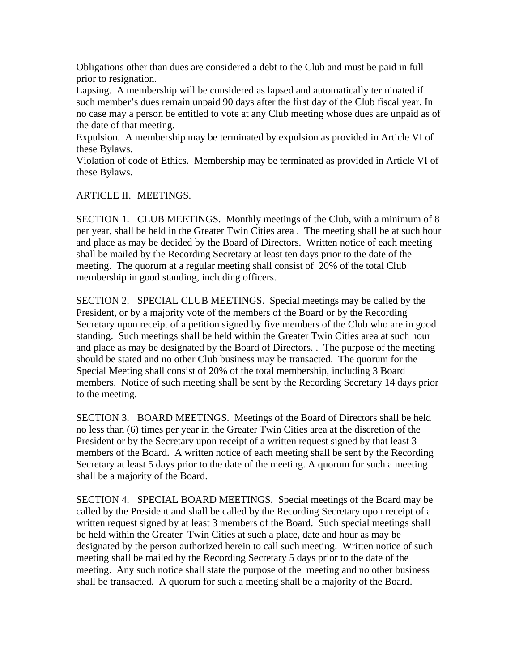Obligations other than dues are considered a debt to the Club and must be paid in full prior to resignation.

Lapsing. A membership will be considered as lapsed and automatically terminated if such member's dues remain unpaid 90 days after the first day of the Club fiscal year. In no case may a person be entitled to vote at any Club meeting whose dues are unpaid as of the date of that meeting.

Expulsion. A membership may be terminated by expulsion as provided in Article VI of these Bylaws.

Violation of code of Ethics. Membership may be terminated as provided in Article VI of these Bylaws.

## ARTICLE II. MEETINGS.

SECTION 1. CLUB MEETINGS. Monthly meetings of the Club, with a minimum of 8 per year, shall be held in the Greater Twin Cities area . The meeting shall be at such hour and place as may be decided by the Board of Directors. Written notice of each meeting shall be mailed by the Recording Secretary at least ten days prior to the date of the meeting. The quorum at a regular meeting shall consist of 20% of the total Club membership in good standing, including officers.

SECTION 2. SPECIAL CLUB MEETINGS. Special meetings may be called by the President, or by a majority vote of the members of the Board or by the Recording Secretary upon receipt of a petition signed by five members of the Club who are in good standing. Such meetings shall be held within the Greater Twin Cities area at such hour and place as may be designated by the Board of Directors. . The purpose of the meeting should be stated and no other Club business may be transacted. The quorum for the Special Meeting shall consist of 20% of the total membership, including 3 Board members. Notice of such meeting shall be sent by the Recording Secretary 14 days prior to the meeting.

SECTION 3. BOARD MEETINGS. Meetings of the Board of Directors shall be held no less than (6) times per year in the Greater Twin Cities area at the discretion of the President or by the Secretary upon receipt of a written request signed by that least 3 members of the Board. A written notice of each meeting shall be sent by the Recording Secretary at least 5 days prior to the date of the meeting. A quorum for such a meeting shall be a majority of the Board.

SECTION 4. SPECIAL BOARD MEETINGS. Special meetings of the Board may be called by the President and shall be called by the Recording Secretary upon receipt of a written request signed by at least 3 members of the Board. Such special meetings shall be held within the Greater Twin Cities at such a place, date and hour as may be designated by the person authorized herein to call such meeting. Written notice of such meeting shall be mailed by the Recording Secretary 5 days prior to the date of the meeting. Any such notice shall state the purpose of the meeting and no other business shall be transacted. A quorum for such a meeting shall be a majority of the Board.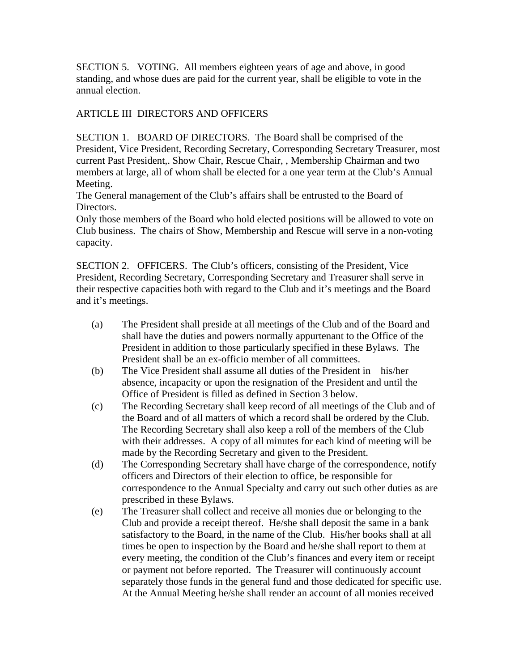SECTION 5. VOTING. All members eighteen years of age and above, in good standing, and whose dues are paid for the current year, shall be eligible to vote in the annual election.

# ARTICLE III DIRECTORS AND OFFICERS

SECTION 1. BOARD OF DIRECTORS. The Board shall be comprised of the President, Vice President, Recording Secretary, Corresponding Secretary Treasurer, most current Past President,. Show Chair, Rescue Chair, , Membership Chairman and two members at large, all of whom shall be elected for a one year term at the Club's Annual Meeting.

The General management of the Club's affairs shall be entrusted to the Board of Directors.

Only those members of the Board who hold elected positions will be allowed to vote on Club business. The chairs of Show, Membership and Rescue will serve in a non-voting capacity.

SECTION 2. OFFICERS. The Club's officers, consisting of the President, Vice President, Recording Secretary, Corresponding Secretary and Treasurer shall serve in their respective capacities both with regard to the Club and it's meetings and the Board and it's meetings.

- (a) The President shall preside at all meetings of the Club and of the Board and shall have the duties and powers normally appurtenant to the Office of the President in addition to those particularly specified in these Bylaws. The President shall be an ex-officio member of all committees.
- (b) The Vice President shall assume all duties of the President in his/her absence, incapacity or upon the resignation of the President and until the Office of President is filled as defined in Section 3 below.
- (c) The Recording Secretary shall keep record of all meetings of the Club and of the Board and of all matters of which a record shall be ordered by the Club. The Recording Secretary shall also keep a roll of the members of the Club with their addresses. A copy of all minutes for each kind of meeting will be made by the Recording Secretary and given to the President.
- (d) The Corresponding Secretary shall have charge of the correspondence, notify officers and Directors of their election to office, be responsible for correspondence to the Annual Specialty and carry out such other duties as are prescribed in these Bylaws.
- (e) The Treasurer shall collect and receive all monies due or belonging to the Club and provide a receipt thereof. He/she shall deposit the same in a bank satisfactory to the Board, in the name of the Club. His/her books shall at all times be open to inspection by the Board and he/she shall report to them at every meeting, the condition of the Club's finances and every item or receipt or payment not before reported. The Treasurer will continuously account separately those funds in the general fund and those dedicated for specific use. At the Annual Meeting he/she shall render an account of all monies received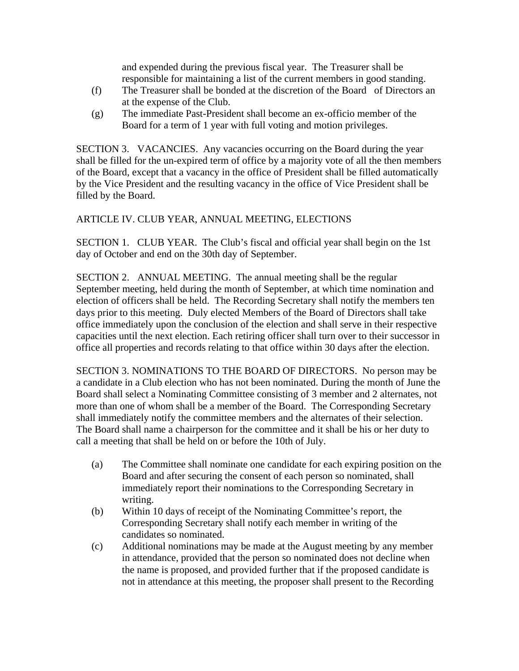and expended during the previous fiscal year. The Treasurer shall be responsible for maintaining a list of the current members in good standing.

- (f) The Treasurer shall be bonded at the discretion of the Board of Directors an at the expense of the Club.
- (g) The immediate Past-President shall become an ex-officio member of the Board for a term of 1 year with full voting and motion privileges.

SECTION 3. VACANCIES. Any vacancies occurring on the Board during the year shall be filled for the un-expired term of office by a majority vote of all the then members of the Board, except that a vacancy in the office of President shall be filled automatically by the Vice President and the resulting vacancy in the office of Vice President shall be filled by the Board.

# ARTICLE IV. CLUB YEAR, ANNUAL MEETING, ELECTIONS

SECTION 1. CLUB YEAR. The Club's fiscal and official year shall begin on the 1st day of October and end on the 30th day of September.

SECTION 2. ANNUAL MEETING. The annual meeting shall be the regular September meeting, held during the month of September, at which time nomination and election of officers shall be held. The Recording Secretary shall notify the members ten days prior to this meeting. Duly elected Members of the Board of Directors shall take office immediately upon the conclusion of the election and shall serve in their respective capacities until the next election. Each retiring officer shall turn over to their successor in office all properties and records relating to that office within 30 days after the election.

SECTION 3. NOMINATIONS TO THE BOARD OF DIRECTORS. No person may be a candidate in a Club election who has not been nominated. During the month of June the Board shall select a Nominating Committee consisting of 3 member and 2 alternates, not more than one of whom shall be a member of the Board. The Corresponding Secretary shall immediately notify the committee members and the alternates of their selection. The Board shall name a chairperson for the committee and it shall be his or her duty to call a meeting that shall be held on or before the 10th of July.

- (a) The Committee shall nominate one candidate for each expiring position on the Board and after securing the consent of each person so nominated, shall immediately report their nominations to the Corresponding Secretary in writing.
- (b) Within 10 days of receipt of the Nominating Committee's report, the Corresponding Secretary shall notify each member in writing of the candidates so nominated.
- (c) Additional nominations may be made at the August meeting by any member in attendance, provided that the person so nominated does not decline when the name is proposed, and provided further that if the proposed candidate is not in attendance at this meeting, the proposer shall present to the Recording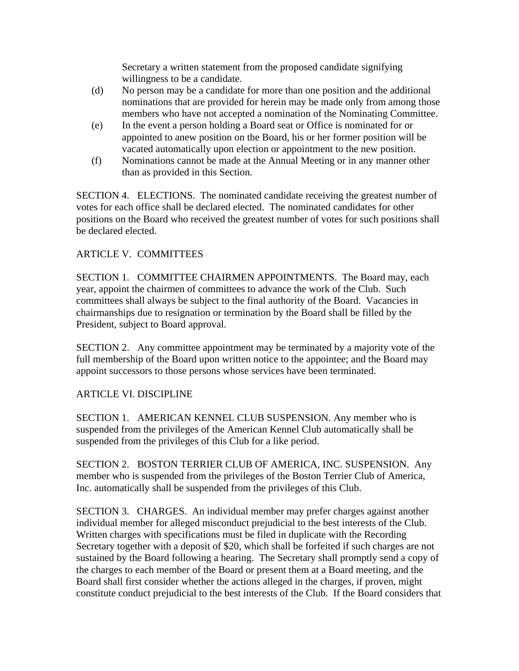Secretary a written statement from the proposed candidate signifying willingness to be a candidate.

- (d) No person may be a candidate for more than one position and the additional nominations that are provided for herein may be made only from among those members who have not accepted a nomination of the Nominating Committee.
- (e) In the event a person holding a Board seat or Office is nominated for or appointed to anew position on the Board, his or her former position will be vacated automatically upon election or appointment to the new position.
- (f) Nominations cannot be made at the Annual Meeting or in any manner other than as provided in this Section.

SECTION 4. ELECTIONS. The nominated candidate receiving the greatest number of votes for each office shall be declared elected. The nominated candidates for other positions on the Board who received the greatest number of votes for such positions shall be declared elected.

# ARTICLE V. COMMITTEES

SECTION 1. COMMITTEE CHAIRMEN APPOINTMENTS. The Board may, each year, appoint the chairmen of committees to advance the work of the Club. Such committees shall always be subject to the final authority of the Board. Vacancies in chairmanships due to resignation or termination by the Board shall be filled by the President, subject to Board approval.

SECTION 2. Any committee appointment may be terminated by a majority vote of the full membership of the Board upon written notice to the appointee; and the Board may appoint successors to those persons whose services have been terminated.

## ARTICLE VI. DISCIPLINE

SECTION 1. AMERICAN KENNEL CLUB SUSPENSION. Any member who is suspended from the privileges of the American Kennel Club automatically shall be suspended from the privileges of this Club for a like period.

SECTION 2. BOSTON TERRIER CLUB OF AMERICA, INC. SUSPENSION. Any member who is suspended from the privileges of the Boston Terrier Club of America, Inc. automatically shall be suspended from the privileges of this Club.

SECTION 3. CHARGES. An individual member may prefer charges against another individual member for alleged misconduct prejudicial to the best interests of the Club. Written charges with specifications must be filed in duplicate with the Recording Secretary together with a deposit of \$20, which shall be forfeited if such charges are not sustained by the Board following a hearing. The Secretary shall promptly send a copy of the charges to each member of the Board or present them at a Board meeting, and the Board shall first consider whether the actions alleged in the charges, if proven, might constitute conduct prejudicial to the best interests of the Club. If the Board considers that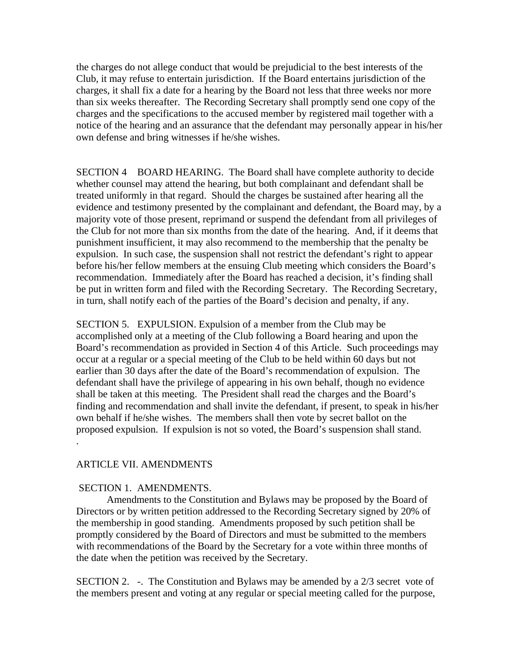the charges do not allege conduct that would be prejudicial to the best interests of the Club, it may refuse to entertain jurisdiction. If the Board entertains jurisdiction of the charges, it shall fix a date for a hearing by the Board not less that three weeks nor more than six weeks thereafter. The Recording Secretary shall promptly send one copy of the charges and the specifications to the accused member by registered mail together with a notice of the hearing and an assurance that the defendant may personally appear in his/her own defense and bring witnesses if he/she wishes.

SECTION 4 BOARD HEARING. The Board shall have complete authority to decide whether counsel may attend the hearing, but both complainant and defendant shall be treated uniformly in that regard. Should the charges be sustained after hearing all the evidence and testimony presented by the complainant and defendant, the Board may, by a majority vote of those present, reprimand or suspend the defendant from all privileges of the Club for not more than six months from the date of the hearing. And, if it deems that punishment insufficient, it may also recommend to the membership that the penalty be expulsion. In such case, the suspension shall not restrict the defendant's right to appear before his/her fellow members at the ensuing Club meeting which considers the Board's recommendation. Immediately after the Board has reached a decision, it's finding shall be put in written form and filed with the Recording Secretary. The Recording Secretary, in turn, shall notify each of the parties of the Board's decision and penalty, if any.

SECTION 5. EXPULSION. Expulsion of a member from the Club may be accomplished only at a meeting of the Club following a Board hearing and upon the Board's recommendation as provided in Section 4 of this Article. Such proceedings may occur at a regular or a special meeting of the Club to be held within 60 days but not earlier than 30 days after the date of the Board's recommendation of expulsion. The defendant shall have the privilege of appearing in his own behalf, though no evidence shall be taken at this meeting. The President shall read the charges and the Board's finding and recommendation and shall invite the defendant, if present, to speak in his/her own behalf if he/she wishes. The members shall then vote by secret ballot on the proposed expulsion. If expulsion is not so voted, the Board's suspension shall stand. .

### ARTICLE VII. AMENDMENTS

#### SECTION 1. AMENDMENTS.

 Amendments to the Constitution and Bylaws may be proposed by the Board of Directors or by written petition addressed to the Recording Secretary signed by 20% of the membership in good standing. Amendments proposed by such petition shall be promptly considered by the Board of Directors and must be submitted to the members with recommendations of the Board by the Secretary for a vote within three months of the date when the petition was received by the Secretary.

SECTION 2. -. The Constitution and Bylaws may be amended by a  $2/3$  secret vote of the members present and voting at any regular or special meeting called for the purpose,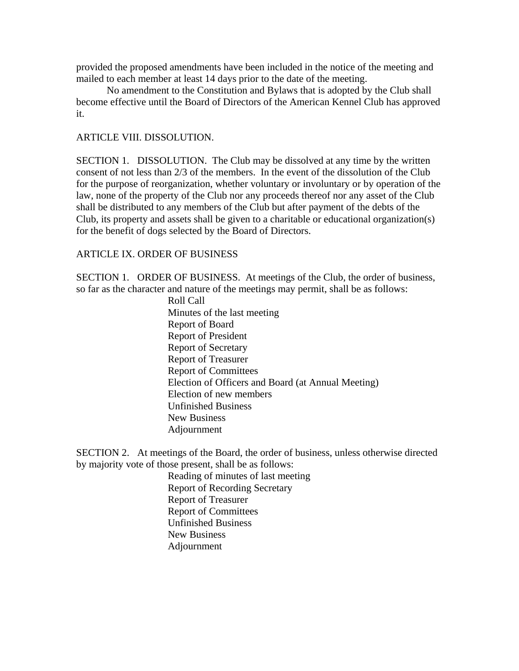provided the proposed amendments have been included in the notice of the meeting and mailed to each member at least 14 days prior to the date of the meeting.

 No amendment to the Constitution and Bylaws that is adopted by the Club shall become effective until the Board of Directors of the American Kennel Club has approved it.

#### ARTICLE VIII. DISSOLUTION.

SECTION 1. DISSOLUTION. The Club may be dissolved at any time by the written consent of not less than 2/3 of the members. In the event of the dissolution of the Club for the purpose of reorganization, whether voluntary or involuntary or by operation of the law, none of the property of the Club nor any proceeds thereof nor any asset of the Club shall be distributed to any members of the Club but after payment of the debts of the Club, its property and assets shall be given to a charitable or educational organization(s) for the benefit of dogs selected by the Board of Directors.

### ARTICLE IX. ORDER OF BUSINESS

SECTION 1. ORDER OF BUSINESS. At meetings of the Club, the order of business, so far as the character and nature of the meetings may permit, shall be as follows:

> Roll Call Minutes of the last meeting Report of Board Report of President Report of Secretary Report of Treasurer Report of Committees Election of Officers and Board (at Annual Meeting) Election of new members Unfinished Business New Business Adjournment

SECTION 2. At meetings of the Board, the order of business, unless otherwise directed by majority vote of those present, shall be as follows:

> Reading of minutes of last meeting Report of Recording Secretary Report of Treasurer Report of Committees Unfinished Business New Business Adjournment